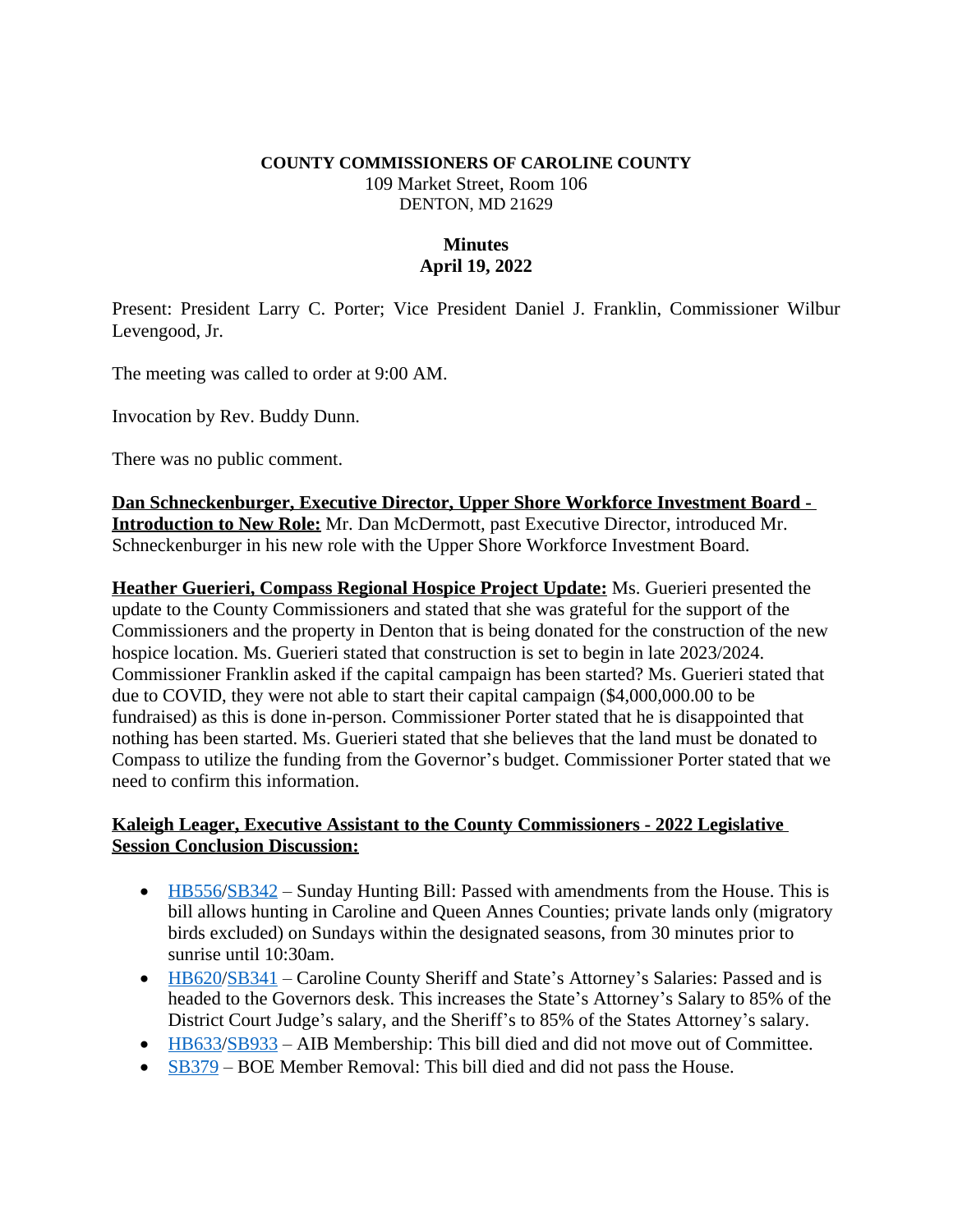#### **COUNTY COMMISSIONERS OF CAROLINE COUNTY** 109 Market Street, Room 106 DENTON, MD 21629

# **Minutes April 19, 2022**

Present: President Larry C. Porter; Vice President Daniel J. Franklin, Commissioner Wilbur Levengood, Jr.

The meeting was called to order at 9:00 AM.

Invocation by Rev. Buddy Dunn.

There was no public comment.

**Dan Schneckenburger, Executive Director, Upper Shore Workforce Investment Board - Introduction to New Role:** Mr. Dan McDermott, past Executive Director, introduced Mr. Schneckenburger in his new role with the Upper Shore Workforce Investment Board.

**Heather Guerieri, Compass Regional Hospice Project Update:** Ms. Guerieri presented the update to the County Commissioners and stated that she was grateful for the support of the Commissioners and the property in Denton that is being donated for the construction of the new hospice location. Ms. Guerieri stated that construction is set to begin in late 2023/2024. Commissioner Franklin asked if the capital campaign has been started? Ms. Guerieri stated that due to COVID, they were not able to start their capital campaign (\$4,000,000.00 to be fundraised) as this is done in-person. Commissioner Porter stated that he is disappointed that nothing has been started. Ms. Guerieri stated that she believes that the land must be donated to Compass to utilize the funding from the Governor's budget. Commissioner Porter stated that we need to confirm this information.

## **Kaleigh Leager, Executive Assistant to the County Commissioners - 2022 Legislative Session Conclusion Discussion:**

- $\bullet$  [HB556/](https://mgaleg.maryland.gov/2022RS/bills/hb/hb0556E.pdf)[SB342](https://mgaleg.maryland.gov/2022RS/bills/sb/sb0342T.pdf) Sunday Hunting Bill: Passed with amendments from the House. This is bill allows hunting in Caroline and Queen Annes Counties; private lands only (migratory birds excluded) on Sundays within the designated seasons, from 30 minutes prior to sunrise until 10:30am.
- [HB620/](https://mgaleg.maryland.gov/2022RS/bills/hb/hb0620T.pdf)[SB341](https://mgaleg.maryland.gov/2022RS/bills/sb/sb0341T.pdf) – [Caroline County Sheriff and State](https://mgaleg.maryland.gov/2022RS/bills/sb/sb0341T.pdf)'s Attorney's Salaries: Passed and is [headed to the Governors desk. This increases the State](https://mgaleg.maryland.gov/2022RS/bills/sb/sb0341T.pdf)'s Attorney's Salary to 85% of the District Court Judge's salary, and the Sheriff'[s to 85% of the States Attorney](https://mgaleg.maryland.gov/2022RS/bills/sb/sb0341T.pdf)'s salary.
- [HB633/](https://mgaleg.maryland.gov/2022RS/bills/hb/hb0633F.pdf)[SB933](https://mgaleg.maryland.gov/2022RS/bills/sb/sb0933F.pdf) AIB Membership: This bill died and did not move out of Committee.
- [SB379](https://mgaleg.maryland.gov/2022RS/bills/sb/sb0379T.pdf) BOE Member Removal: This bill died and did not pass the House.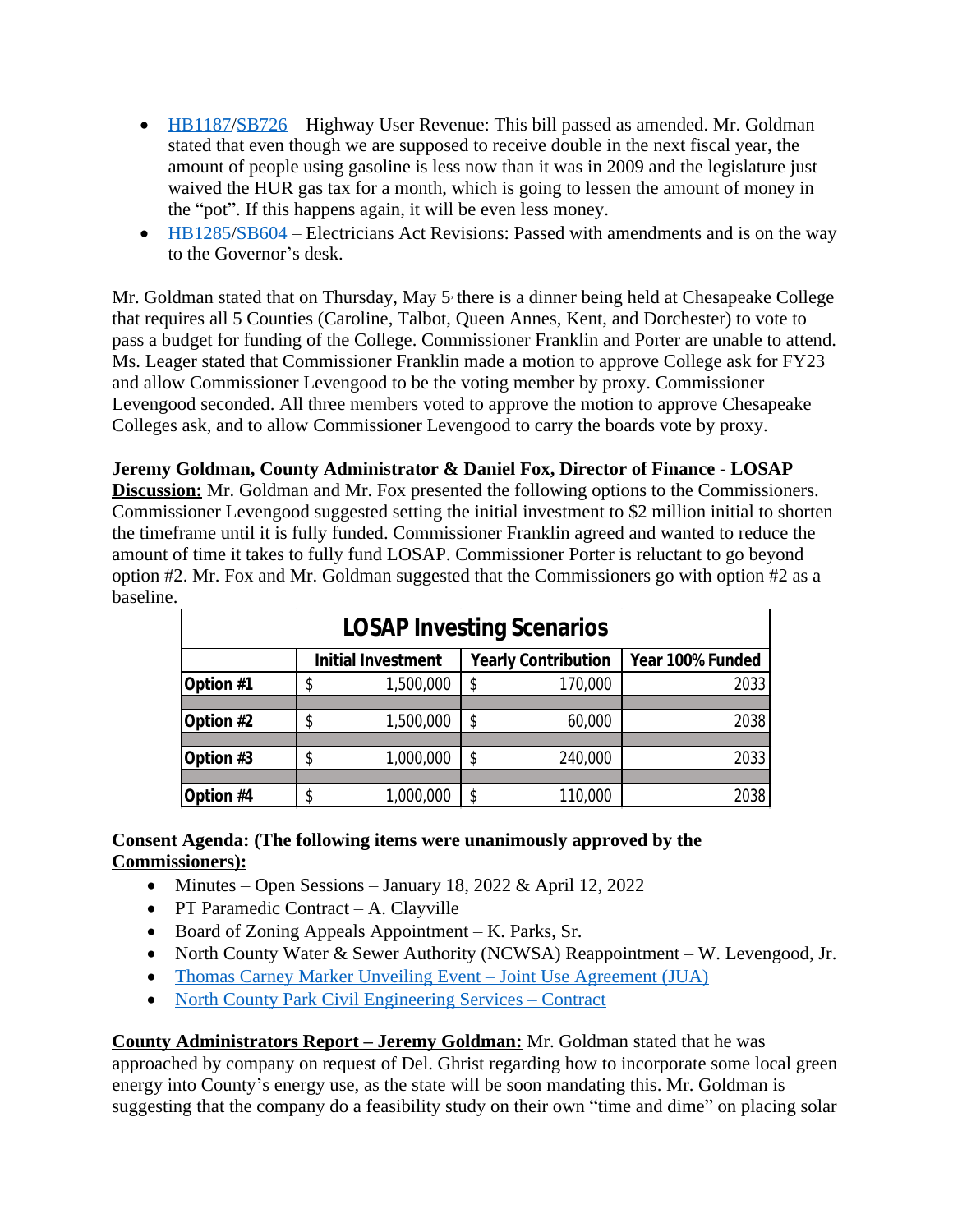- [HB1187/](https://mgaleg.maryland.gov/2022RS/bills/hb/hb1187E.pdf)[SB726](https://mgaleg.maryland.gov/2022RS/bills/sb/sb0726T.pdf) Highway User Revenue: This bill passed as amended. Mr. Goldman stated that even though we are supposed to receive double in the next fiscal year, the amount of people using gasoline is less now than it was in 2009 and the legislature just waived the HUR gas tax for a month, which is going to lessen the amount of money in the "pot". If this happens again, it will be even less money.
- $\bullet$  [HB1285/](https://mgaleg.maryland.gov/2022RS/bills/hb/hb1285E.pdf)[SB604](https://mgaleg.maryland.gov/mgawebsite/Legislation/Details/SB0604?ys=2022RS) Electricians Act Revisions: Passed with amendments and is on the way to the Governor's desk.

Mr. Goldman stated that on Thursday, May 5<sup>,</sup> there is a dinner being held at Chesapeake College that requires all 5 Counties (Caroline, Talbot, Queen Annes, Kent, and Dorchester) to vote to pass a budget for funding of the College. Commissioner Franklin and Porter are unable to attend. Ms. Leager stated that Commissioner Franklin made a motion to approve College ask for FY23 and allow Commissioner Levengood to be the voting member by proxy. Commissioner Levengood seconded. All three members voted to approve the motion to approve Chesapeake Colleges ask, and to allow Commissioner Levengood to carry the boards vote by proxy.

#### **Jeremy Goldman, County Administrator & Daniel Fox, Director of Finance - LOSAP**

**Discussion:** Mr. Goldman and Mr. Fox presented the following options to the Commissioners. Commissioner Levengood suggested setting the initial investment to \$2 million initial to shorten the timeframe until it is fully funded. Commissioner Franklin agreed and wanted to reduce the amount of time it takes to fully fund LOSAP. Commissioner Porter is reluctant to go beyond option #2. Mr. Fox and Mr. Goldman suggested that the Commissioners go with option #2 as a baseline.

| <b>LOSAP Investing Scenarios</b> |                           |           |                            |         |                  |
|----------------------------------|---------------------------|-----------|----------------------------|---------|------------------|
|                                  | <b>Initial Investment</b> |           | <b>Yearly Contribution</b> |         | Year 100% Funded |
| Option #1                        |                           | 1,500,000 |                            | 170,000 | 2033             |
|                                  |                           |           |                            |         |                  |
| Option #2                        |                           | 1,500,000 |                            | 60,000  | 2038             |
|                                  |                           |           |                            |         |                  |
| Option #3                        | \$                        | 1,000,000 |                            | 240,000 | 2033             |
|                                  |                           |           |                            |         |                  |
| Option #4                        | \$                        | 1,000,000 |                            | 110,000 | 2038             |

## **Consent Agenda: (The following items were unanimously approved by the Commissioners):**

- Minutes Open Sessions January 18, 2022 & April 12, 2022
- PT Paramedic Contract A. Clayville
- Board of Zoning Appeals Appointment K. Parks, Sr.
- North County Water & Sewer Authority (NCWSA) Reappointment W. Levengood, Jr.
- [Thomas Carney Marker Unveiling Event](https://www.carolinemd.org/DocumentCenter/View/7071/DAR-Thomas-Carney-JUA)  Joint Use Agreement (JUA)
- [North County Park Civil Engineering Services](https://www.carolinemd.org/DocumentCenter/View/7078/McCullough---Civil-Engineering_March-2022_contract)  Contract

**County Administrators Report – Jeremy Goldman:** Mr. Goldman stated that he was approached by company on request of Del. Ghrist regarding how to incorporate some local green energy into County's energy use, as the state will be soon mandating this. Mr. Goldman is suggesting that the company do a feasibility study on their own "time and dime" on placing solar